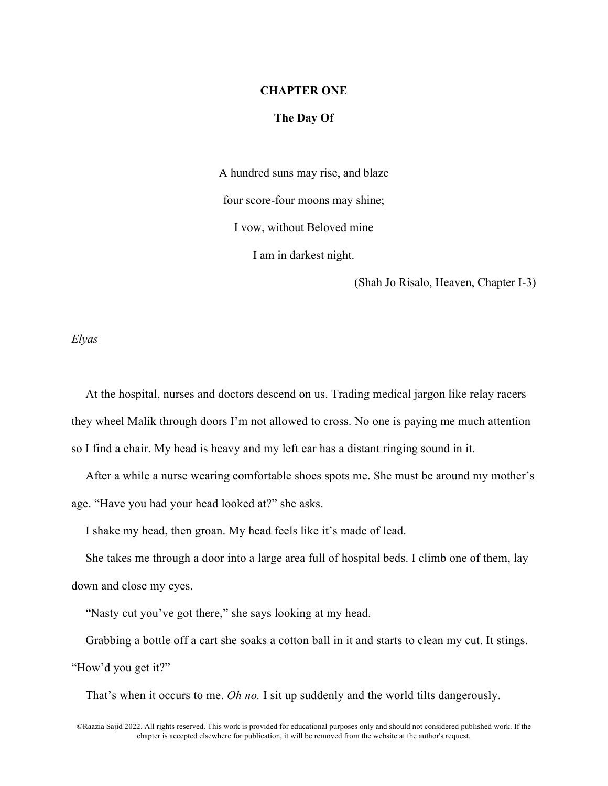### **CHAPTER ONE**

# **The Day Of**

A hundred suns may rise, and blaze four score-four moons may shine; I vow, without Beloved mine I am in darkest night.

(Shah Jo Risalo, Heaven, Chapter I-3)

*Elyas*

At the hospital, nurses and doctors descend on us. Trading medical jargon like relay racers they wheel Malik through doors I'm not allowed to cross. No one is paying me much attention so I find a chair. My head is heavy and my left ear has a distant ringing sound in it.

After a while a nurse wearing comfortable shoes spots me. She must be around my mother's age. "Have you had your head looked at?" she asks.

I shake my head, then groan. My head feels like it's made of lead.

She takes me through a door into a large area full of hospital beds. I climb one of them, lay down and close my eyes.

"Nasty cut you've got there," she says looking at my head.

Grabbing a bottle off a cart she soaks a cotton ball in it and starts to clean my cut. It stings.

"How'd you get it?"

That's when it occurs to me. *Oh no.* I sit up suddenly and the world tilts dangerously.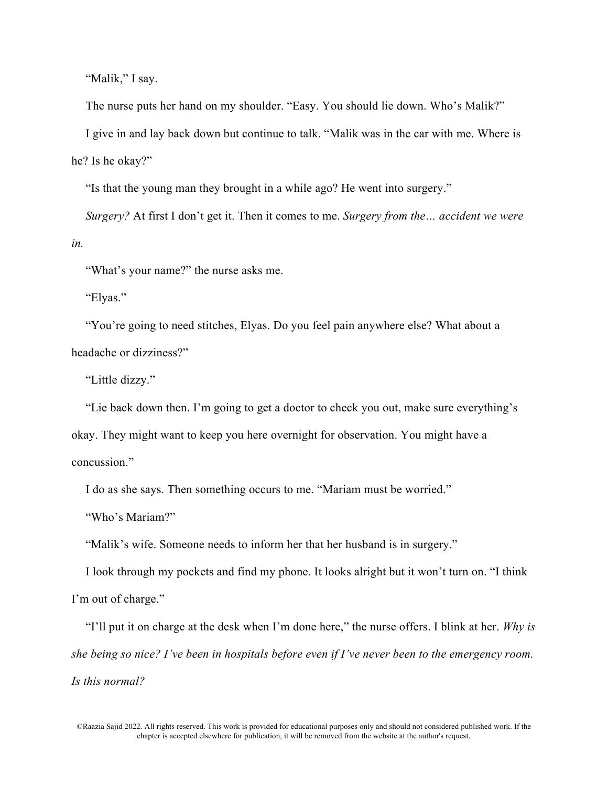"Malik," I say.

The nurse puts her hand on my shoulder. "Easy. You should lie down. Who's Malik?"

I give in and lay back down but continue to talk. "Malik was in the car with me. Where is he? Is he okay?"

"Is that the young man they brought in a while ago? He went into surgery."

*Surgery?* At first I don't get it. Then it comes to me. *Surgery from the… accident we were in.* 

"What's your name?" the nurse asks me.

"Elyas."

"You're going to need stitches, Elyas. Do you feel pain anywhere else? What about a headache or dizziness?"

"Little dizzy."

"Lie back down then. I'm going to get a doctor to check you out, make sure everything's okay. They might want to keep you here overnight for observation. You might have a concussion."

I do as she says. Then something occurs to me. "Mariam must be worried."

"Who's Mariam?"

"Malik's wife. Someone needs to inform her that her husband is in surgery."

I look through my pockets and find my phone. It looks alright but it won't turn on. "I think I'm out of charge."

"I'll put it on charge at the desk when I'm done here," the nurse offers. I blink at her. *Why is she being so nice? I've been in hospitals before even if I've never been to the emergency room. Is this normal?*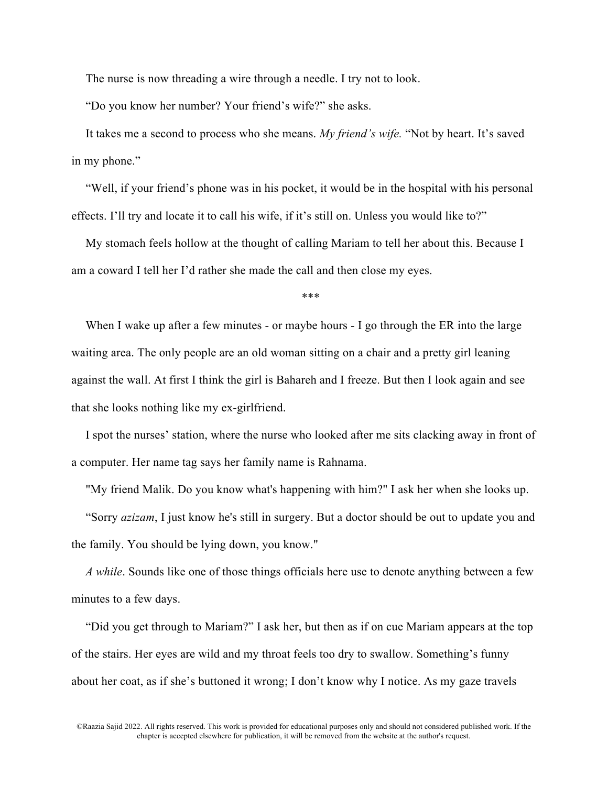The nurse is now threading a wire through a needle. I try not to look.

"Do you know her number? Your friend's wife?" she asks.

It takes me a second to process who she means. *My friend's wife.* "Not by heart. It's saved in my phone."

"Well, if your friend's phone was in his pocket, it would be in the hospital with his personal effects. I'll try and locate it to call his wife, if it's still on. Unless you would like to?"

My stomach feels hollow at the thought of calling Mariam to tell her about this. Because I am a coward I tell her I'd rather she made the call and then close my eyes.

\*\*\*

When I wake up after a few minutes - or maybe hours - I go through the ER into the large waiting area. The only people are an old woman sitting on a chair and a pretty girl leaning against the wall. At first I think the girl is Bahareh and I freeze. But then I look again and see that she looks nothing like my ex-girlfriend.

I spot the nurses' station, where the nurse who looked after me sits clacking away in front of a computer. Her name tag says her family name is Rahnama.

"My friend Malik. Do you know what's happening with him?" I ask her when she looks up.

"Sorry *azizam*, I just know he's still in surgery. But a doctor should be out to update you and the family. You should be lying down, you know."

*A while*. Sounds like one of those things officials here use to denote anything between a few minutes to a few days.

"Did you get through to Mariam?" I ask her, but then as if on cue Mariam appears at the top of the stairs. Her eyes are wild and my throat feels too dry to swallow. Something's funny about her coat, as if she's buttoned it wrong; I don't know why I notice. As my gaze travels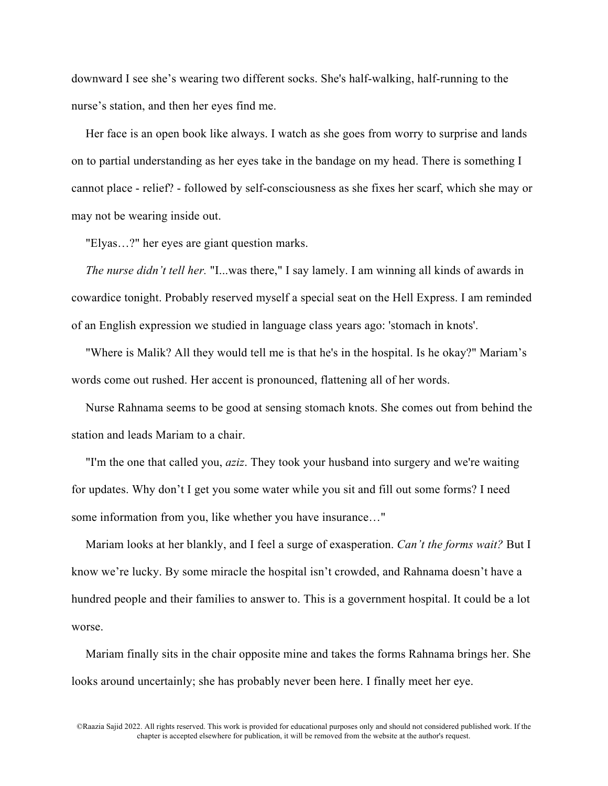downward I see she's wearing two different socks. She's half-walking, half-running to the nurse's station, and then her eyes find me.

Her face is an open book like always. I watch as she goes from worry to surprise and lands on to partial understanding as her eyes take in the bandage on my head. There is something I cannot place - relief? - followed by self-consciousness as she fixes her scarf, which she may or may not be wearing inside out.

"Elyas…?" her eyes are giant question marks.

*The nurse didn't tell her.* "I...was there," I say lamely. I am winning all kinds of awards in cowardice tonight. Probably reserved myself a special seat on the Hell Express. I am reminded of an English expression we studied in language class years ago: 'stomach in knots'.

"Where is Malik? All they would tell me is that he's in the hospital. Is he okay?" Mariam's words come out rushed. Her accent is pronounced, flattening all of her words.

Nurse Rahnama seems to be good at sensing stomach knots. She comes out from behind the station and leads Mariam to a chair.

"I'm the one that called you, *aziz*. They took your husband into surgery and we're waiting for updates. Why don't I get you some water while you sit and fill out some forms? I need some information from you, like whether you have insurance…"

Mariam looks at her blankly, and I feel a surge of exasperation. *Can't the forms wait?* But I know we're lucky. By some miracle the hospital isn't crowded, and Rahnama doesn't have a hundred people and their families to answer to. This is a government hospital. It could be a lot worse.

Mariam finally sits in the chair opposite mine and takes the forms Rahnama brings her. She looks around uncertainly; she has probably never been here. I finally meet her eye.

<sup>©</sup>Raazia Sajid 2022. All rights reserved. This work is provided for educational purposes only and should not considered published work. If the chapter is accepted elsewhere for publication, it will be removed from the website at the author's request.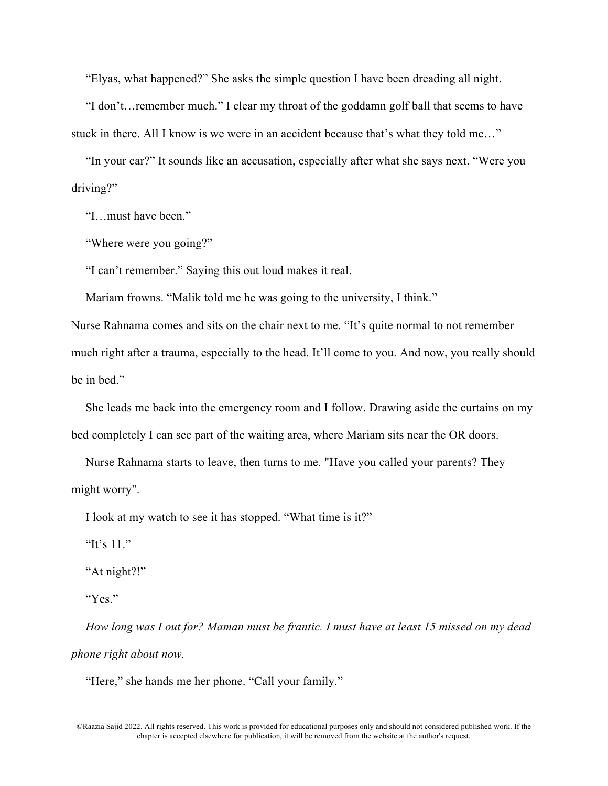"Elyas, what happened?" She asks the simple question I have been dreading all night.

"I don't…remember much." I clear my throat of the goddamn golf ball that seems to have stuck in there. All I know is we were in an accident because that's what they told me…"

"In your car?" It sounds like an accusation, especially after what she says next. "Were you driving?"

"I…must have been."

"Where were you going?"

"I can't remember." Saying this out loud makes it real.

Mariam frowns. "Malik told me he was going to the university, I think."

Nurse Rahnama comes and sits on the chair next to me. "It's quite normal to not remember much right after a trauma, especially to the head. It'll come to you. And now, you really should be in bed."

She leads me back into the emergency room and I follow. Drawing aside the curtains on my bed completely I can see part of the waiting area, where Mariam sits near the OR doors.

Nurse Rahnama starts to leave, then turns to me. "Have you called your parents? They might worry".

I look at my watch to see it has stopped. "What time is it?"

"It's 11."

"At night?!"

"Yes."

*How long was I out for? Maman must be frantic. I must have at least 15 missed on my dead phone right about now.*

"Here," she hands me her phone. "Call your family."

<sup>©</sup>Raazia Sajid 2022. All rights reserved. This work is provided for educational purposes only and should not considered published work. If the chapter is accepted elsewhere for publication, it will be removed from the website at the author's request.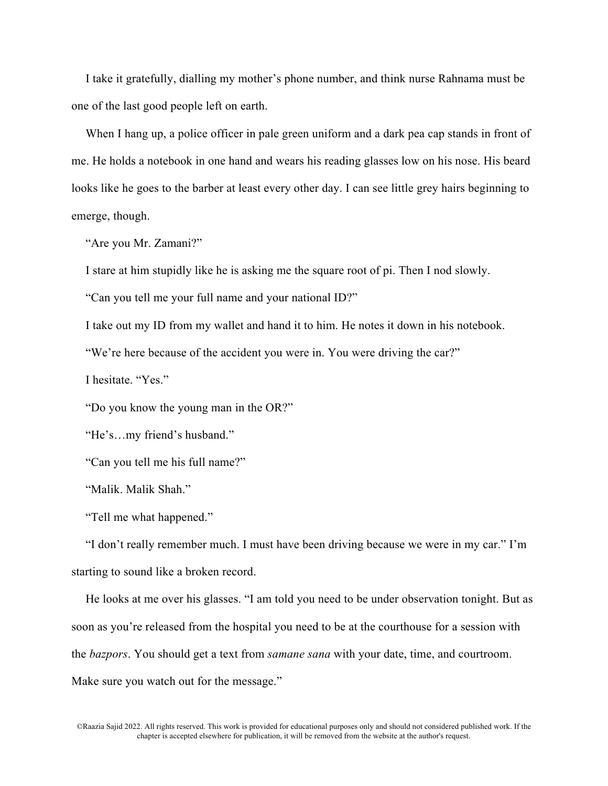I take it gratefully, dialling my mother's phone number, and think nurse Rahnama must be one of the last good people left on earth.

When I hang up, a police officer in pale green uniform and a dark pea cap stands in front of me. He holds a notebook in one hand and wears his reading glasses low on his nose. His beard looks like he goes to the barber at least every other day. I can see little grey hairs beginning to emerge, though.

"Are you Mr. Zamani?"

I stare at him stupidly like he is asking me the square root of pi. Then I nod slowly.

"Can you tell me your full name and your national ID?"

I take out my ID from my wallet and hand it to him. He notes it down in his notebook.

"We're here because of the accident you were in. You were driving the car?"

I hesitate. "Yes."

"Do you know the young man in the OR?"

"He's…my friend's husband."

"Can you tell me his full name?"

"Malik. Malik Shah."

"Tell me what happened."

"I don't really remember much. I must have been driving because we were in my car." I'm starting to sound like a broken record.

He looks at me over his glasses. "I am told you need to be under observation tonight. But as soon as you're released from the hospital you need to be at the courthouse for a session with the *bazpors*. You should get a text from *samane sana* with your date, time, and courtroom. Make sure you watch out for the message."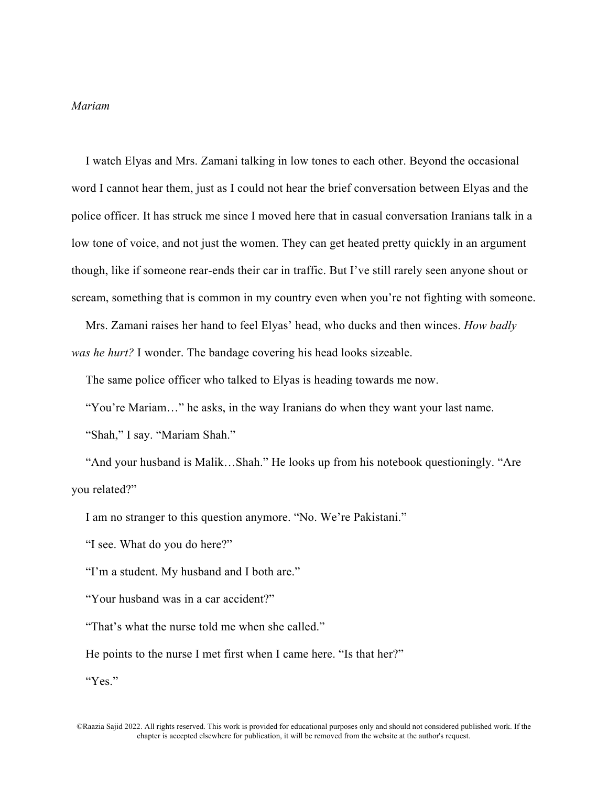# *Mariam*

I watch Elyas and Mrs. Zamani talking in low tones to each other. Beyond the occasional word I cannot hear them, just as I could not hear the brief conversation between Elyas and the police officer. It has struck me since I moved here that in casual conversation Iranians talk in a low tone of voice, and not just the women. They can get heated pretty quickly in an argument though, like if someone rear-ends their car in traffic. But I've still rarely seen anyone shout or scream, something that is common in my country even when you're not fighting with someone.

Mrs. Zamani raises her hand to feel Elyas' head, who ducks and then winces. *How badly was he hurt?* I wonder. The bandage covering his head looks sizeable.

The same police officer who talked to Elyas is heading towards me now.

"You're Mariam…" he asks, in the way Iranians do when they want your last name. "Shah," I say. "Mariam Shah."

"And your husband is Malik…Shah." He looks up from his notebook questioningly. "Are you related?"

I am no stranger to this question anymore. "No. We're Pakistani."

"I see. What do you do here?"

"I'm a student. My husband and I both are."

"Your husband was in a car accident?"

"That's what the nurse told me when she called."

He points to the nurse I met first when I came here. "Is that her?"

"Yes."

<sup>©</sup>Raazia Sajid 2022. All rights reserved. This work is provided for educational purposes only and should not considered published work. If the chapter is accepted elsewhere for publication, it will be removed from the website at the author's request.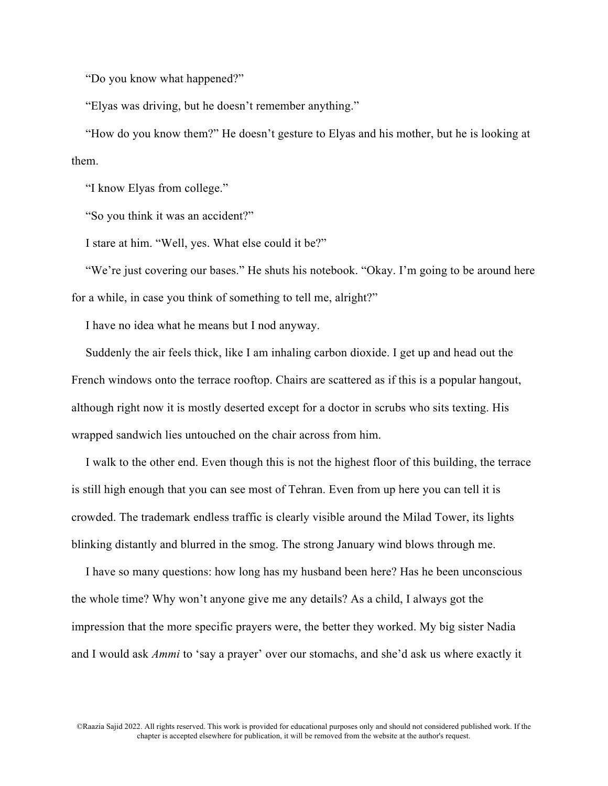"Do you know what happened?"

"Elyas was driving, but he doesn't remember anything."

"How do you know them?" He doesn't gesture to Elyas and his mother, but he is looking at them.

"I know Elyas from college."

"So you think it was an accident?"

I stare at him. "Well, yes. What else could it be?"

"We're just covering our bases." He shuts his notebook. "Okay. I'm going to be around here for a while, in case you think of something to tell me, alright?"

I have no idea what he means but I nod anyway.

Suddenly the air feels thick, like I am inhaling carbon dioxide. I get up and head out the French windows onto the terrace rooftop. Chairs are scattered as if this is a popular hangout, although right now it is mostly deserted except for a doctor in scrubs who sits texting. His wrapped sandwich lies untouched on the chair across from him.

I walk to the other end. Even though this is not the highest floor of this building, the terrace is still high enough that you can see most of Tehran. Even from up here you can tell it is crowded. The trademark endless traffic is clearly visible around the Milad Tower, its lights blinking distantly and blurred in the smog. The strong January wind blows through me.

I have so many questions: how long has my husband been here? Has he been unconscious the whole time? Why won't anyone give me any details? As a child, I always got the impression that the more specific prayers were, the better they worked. My big sister Nadia and I would ask *Ammi* to 'say a prayer' over our stomachs, and she'd ask us where exactly it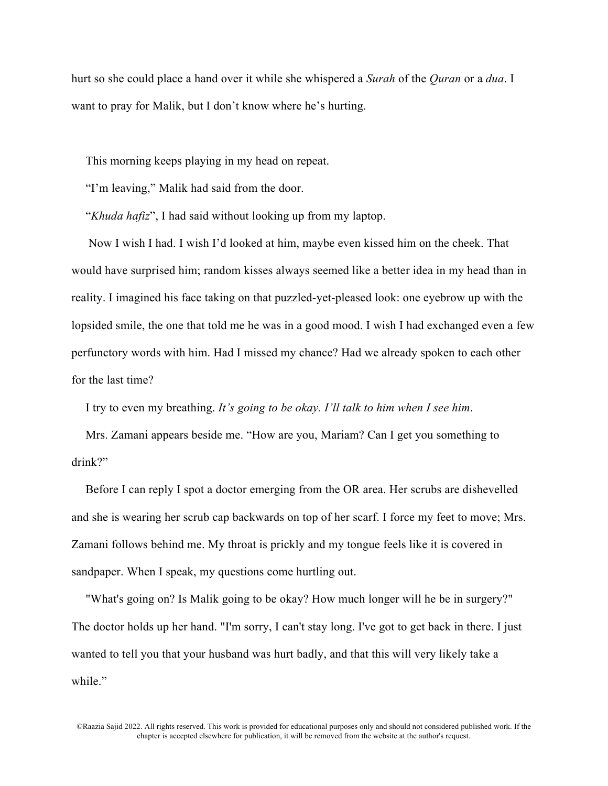hurt so she could place a hand over it while she whispered a *Surah* of the *Quran* or a *dua*. I want to pray for Malik, but I don't know where he's hurting.

This morning keeps playing in my head on repeat.

"I'm leaving," Malik had said from the door.

"*Khuda hafiz*", I had said without looking up from my laptop.

Now I wish I had. I wish I'd looked at him, maybe even kissed him on the cheek. That would have surprised him; random kisses always seemed like a better idea in my head than in reality. I imagined his face taking on that puzzled-yet-pleased look: one eyebrow up with the lopsided smile, the one that told me he was in a good mood. I wish I had exchanged even a few perfunctory words with him. Had I missed my chance? Had we already spoken to each other for the last time?

I try to even my breathing. *It's going to be okay. I'll talk to him when I see him*.

Mrs. Zamani appears beside me. "How are you, Mariam? Can I get you something to drink?"

Before I can reply I spot a doctor emerging from the OR area. Her scrubs are dishevelled and she is wearing her scrub cap backwards on top of her scarf. I force my feet to move; Mrs. Zamani follows behind me. My throat is prickly and my tongue feels like it is covered in sandpaper. When I speak, my questions come hurtling out.

"What's going on? Is Malik going to be okay? How much longer will he be in surgery?" The doctor holds up her hand. "I'm sorry, I can't stay long. I've got to get back in there. I just wanted to tell you that your husband was hurt badly, and that this will very likely take a while."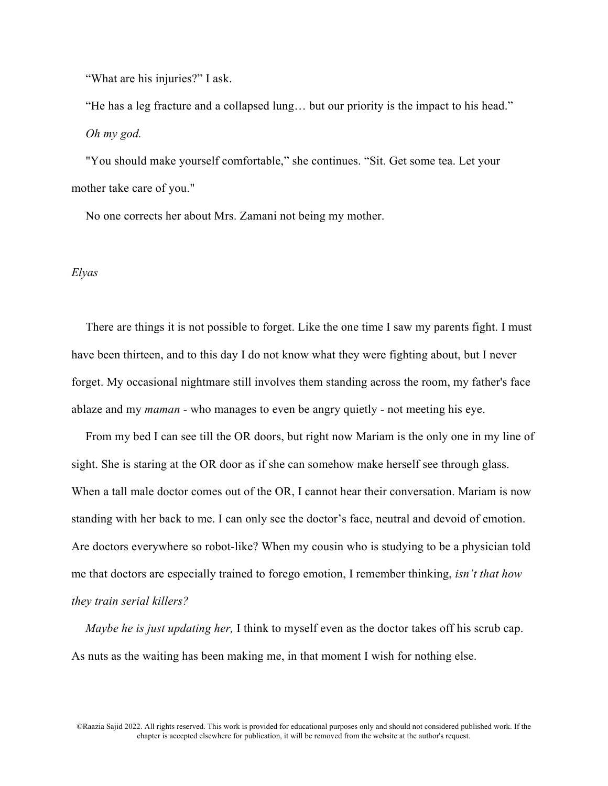"What are his injuries?" I ask.

"He has a leg fracture and a collapsed lung… but our priority is the impact to his head." *Oh my god.*

"You should make yourself comfortable," she continues. "Sit. Get some tea. Let your mother take care of you."

No one corrects her about Mrs. Zamani not being my mother.

# *Elyas*

There are things it is not possible to forget. Like the one time I saw my parents fight. I must have been thirteen, and to this day I do not know what they were fighting about, but I never forget. My occasional nightmare still involves them standing across the room, my father's face ablaze and my *maman* - who manages to even be angry quietly - not meeting his eye.

From my bed I can see till the OR doors, but right now Mariam is the only one in my line of sight. She is staring at the OR door as if she can somehow make herself see through glass. When a tall male doctor comes out of the OR, I cannot hear their conversation. Mariam is now standing with her back to me. I can only see the doctor's face, neutral and devoid of emotion. Are doctors everywhere so robot-like? When my cousin who is studying to be a physician told me that doctors are especially trained to forego emotion, I remember thinking, *isn't that how they train serial killers?*

*Maybe he is just updating her,* I think to myself even as the doctor takes off his scrub cap. As nuts as the waiting has been making me, in that moment I wish for nothing else.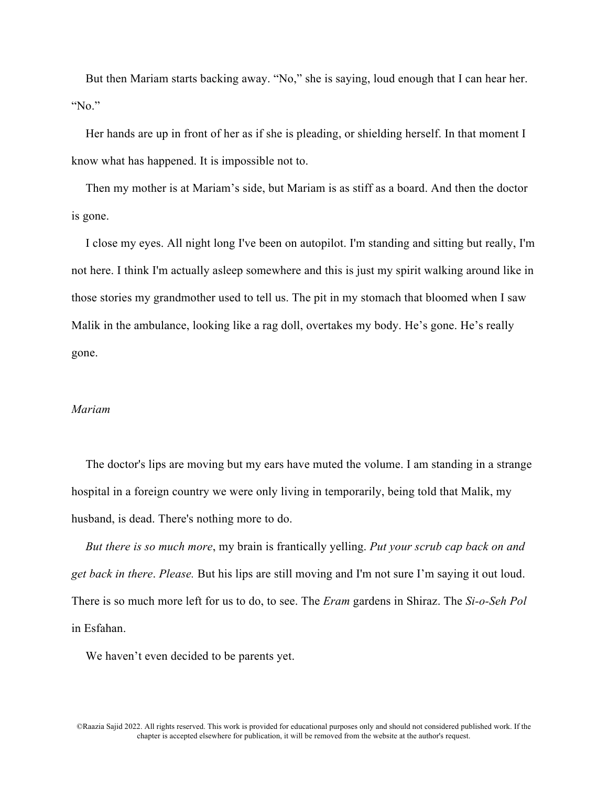But then Mariam starts backing away. "No," she is saying, loud enough that I can hear her. "No."

Her hands are up in front of her as if she is pleading, or shielding herself. In that moment I know what has happened. It is impossible not to.

Then my mother is at Mariam's side, but Mariam is as stiff as a board. And then the doctor is gone.

I close my eyes. All night long I've been on autopilot. I'm standing and sitting but really, I'm not here. I think I'm actually asleep somewhere and this is just my spirit walking around like in those stories my grandmother used to tell us. The pit in my stomach that bloomed when I saw Malik in the ambulance, looking like a rag doll, overtakes my body. He's gone. He's really gone.

## *Mariam*

The doctor's lips are moving but my ears have muted the volume. I am standing in a strange hospital in a foreign country we were only living in temporarily, being told that Malik, my husband, is dead. There's nothing more to do.

*But there is so much more*, my brain is frantically yelling. *Put your scrub cap back on and get back in there*. *Please.* But his lips are still moving and I'm not sure I'm saying it out loud. There is so much more left for us to do, to see. The *Eram* gardens in Shiraz. The *Si-o-Seh Pol* in Esfahan.

We haven't even decided to be parents yet.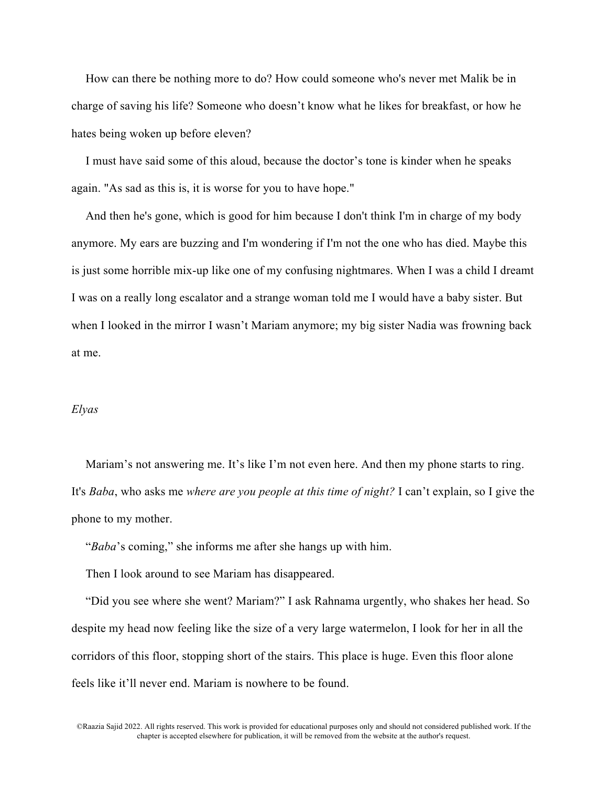How can there be nothing more to do? How could someone who's never met Malik be in charge of saving his life? Someone who doesn't know what he likes for breakfast, or how he hates being woken up before eleven?

I must have said some of this aloud, because the doctor's tone is kinder when he speaks again. "As sad as this is, it is worse for you to have hope."

And then he's gone, which is good for him because I don't think I'm in charge of my body anymore. My ears are buzzing and I'm wondering if I'm not the one who has died. Maybe this is just some horrible mix-up like one of my confusing nightmares. When I was a child I dreamt I was on a really long escalator and a strange woman told me I would have a baby sister. But when I looked in the mirror I wasn't Mariam anymore; my big sister Nadia was frowning back at me.

#### *Elyas*

Mariam's not answering me. It's like I'm not even here. And then my phone starts to ring. It's *Baba*, who asks me *where are you people at this time of night?* I can't explain, so I give the phone to my mother.

"*Baba*'s coming," she informs me after she hangs up with him.

Then I look around to see Mariam has disappeared.

"Did you see where she went? Mariam?" I ask Rahnama urgently, who shakes her head. So despite my head now feeling like the size of a very large watermelon, I look for her in all the corridors of this floor, stopping short of the stairs. This place is huge. Even this floor alone feels like it'll never end. Mariam is nowhere to be found.